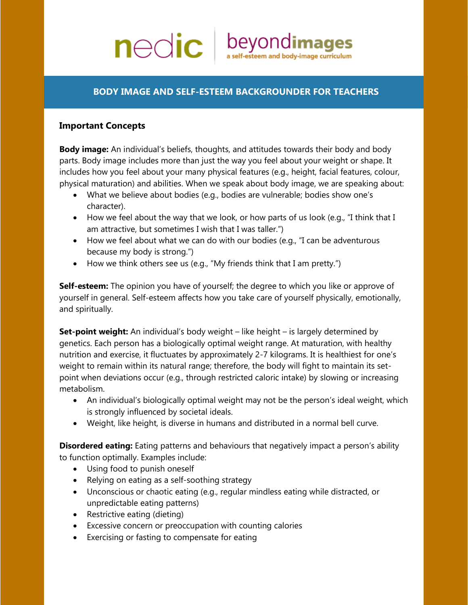# $\mathsf{nc}$  beyondimages self-esteem and body-image curriculum

## **BODY IMAGE AND SELF-ESTEEM BACKGROUNDER FOR TEACHERS**

## **Important Concepts**

**Body image:** An individual's beliefs, thoughts, and attitudes towards their body and body parts. Body image includes more than just the way you feel about your weight or shape. It includes how you feel about your many physical features (e.g., height, facial features, colour, physical maturation) and abilities. When we speak about body image, we are speaking about:

- What we believe about bodies (e.g., bodies are vulnerable; bodies show one's character).
- How we feel about the way that we look, or how parts of us look (e.g., "I think that I am attractive, but sometimes I wish that I was taller.")
- How we feel about what we can do with our bodies (e.g., "I can be adventurous because my body is strong.")
- How we think others see us (e.g., "My friends think that I am pretty.")

**Self-esteem:** The opinion you have of yourself; the degree to which you like or approve of yourself in general. Self-esteem affects how you take care of yourself physically, emotionally, and spiritually.

**Set-point weight:** An individual's body weight – like height – is largely determined by genetics. Each person has a biologically optimal weight range. At maturation, with healthy nutrition and exercise, it fluctuates by approximately 2-7 kilograms. It is healthiest for one's weight to remain within its natural range; therefore, the body will fight to maintain its setpoint when deviations occur (e.g., through restricted caloric intake) by slowing or increasing metabolism.

- An individual's biologically optimal weight may not be the person's ideal weight, which is strongly influenced by societal ideals.
- Weight, like height, is diverse in humans and distributed in a normal bell curve.

**Disordered eating:** Eating patterns and behaviours that negatively impact a person's ability to function optimally. Examples include:

- Using food to punish oneself
- Relying on eating as a self-soothing strategy
- Unconscious or chaotic eating (e.g., regular mindless eating while distracted, or unpredictable eating patterns)
- Restrictive eating (dieting)
- Excessive concern or preoccupation with counting calories
- Exercising or fasting to compensate for eating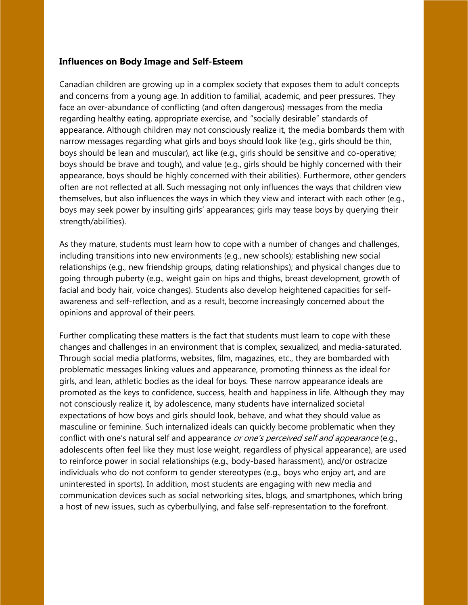### **Influences on Body Image and Self-Esteem**

Canadian children are growing up in a complex society that exposes them to adult concepts and concerns from a young age. In addition to familial, academic, and peer pressures. They face an over-abundance of conflicting (and often dangerous) messages from the media regarding healthy eating, appropriate exercise, and "socially desirable" standards of appearance. Although children may not consciously realize it, the media bombards them with narrow messages regarding what girls and boys should look like (e.g., girls should be thin, boys should be lean and muscular), act like (e.g., girls should be sensitive and co-operative; boys should be brave and tough), and value (e.g., girls should be highly concerned with their appearance, boys should be highly concerned with their abilities). Furthermore, other genders often are not reflected at all. Such messaging not only influences the ways that children view themselves, but also influences the ways in which they view and interact with each other (e.g., boys may seek power by insulting girls' appearances; girls may tease boys by querying their strength/abilities).

As they mature, students must learn how to cope with a number of changes and challenges, including transitions into new environments (e.g., new schools); establishing new social relationships (e.g., new friendship groups, dating relationships); and physical changes due to going through puberty (e.g., weight gain on hips and thighs, breast development, growth of facial and body hair, voice changes). Students also develop heightened capacities for selfawareness and self-reflection, and as a result, become increasingly concerned about the opinions and approval of their peers.

Further complicating these matters is the fact that students must learn to cope with these changes and challenges in an environment that is complex, sexualized, and media-saturated. Through social media platforms, websites, film, magazines, etc., they are bombarded with problematic messages linking values and appearance, promoting thinness as the ideal for girls, and lean, athletic bodies as the ideal for boys. These narrow appearance ideals are promoted as the keys to confidence, success, health and happiness in life. Although they may not consciously realize it, by adolescence, many students have internalized societal expectations of how boys and girls should look, behave, and what they should value as masculine or feminine. Such internalized ideals can quickly become problematic when they conflict with one's natural self and appearance or one's perceived self and appearance (e.g., adolescents often feel like they must lose weight, regardless of physical appearance), are used to reinforce power in social relationships (e.g., body-based harassment), and/or ostracize individuals who do not conform to gender stereotypes (e.g., boys who enjoy art, and are uninterested in sports). In addition, most students are engaging with new media and communication devices such as social networking sites, blogs, and smartphones, which bring a host of new issues, such as cyberbullying, and false self-representation to the forefront.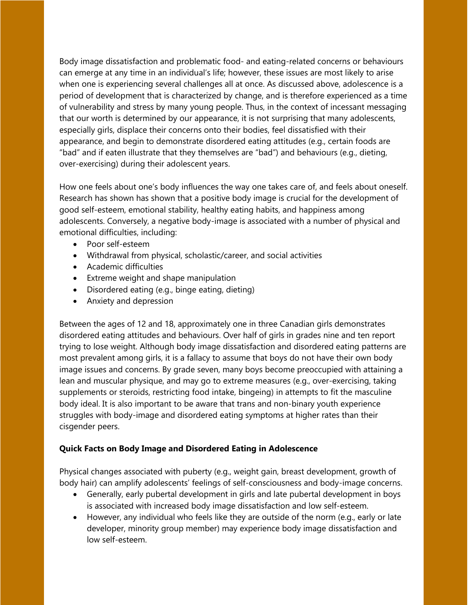Body image dissatisfaction and problematic food- and eating-related concerns or behaviours can emerge at any time in an individual's life; however, these issues are most likely to arise when one is experiencing several challenges all at once. As discussed above, adolescence is a period of development that is characterized by change, and is therefore experienced as a time of vulnerability and stress by many young people. Thus, in the context of incessant messaging that our worth is determined by our appearance, it is not surprising that many adolescents, especially girls, displace their concerns onto their bodies, feel dissatisfied with their appearance, and begin to demonstrate disordered eating attitudes (e.g., certain foods are "bad" and if eaten illustrate that they themselves are "bad") and behaviours (e.g., dieting, over-exercising) during their adolescent years.

How one feels about one's body influences the way one takes care of, and feels about oneself. Research has shown has shown that a positive body image is crucial for the development of good self-esteem, emotional stability, healthy eating habits, and happiness among adolescents. Conversely, a negative body-image is associated with a number of physical and emotional difficulties, including:

- Poor self-esteem
- Withdrawal from physical, scholastic/career, and social activities
- Academic difficulties
- Extreme weight and shape manipulation
- Disordered eating (e.g., binge eating, dieting)
- Anxiety and depression

Between the ages of 12 and 18, approximately one in three Canadian girls demonstrates disordered eating attitudes and behaviours. Over half of girls in grades nine and ten report trying to lose weight. Although body image dissatisfaction and disordered eating patterns are most prevalent among girls, it is a fallacy to assume that boys do not have their own body image issues and concerns. By grade seven, many boys become preoccupied with attaining a lean and muscular physique, and may go to extreme measures (e.g., over-exercising, taking supplements or steroids, restricting food intake, bingeing) in attempts to fit the masculine body ideal. It is also important to be aware that trans and non-binary youth experience struggles with body-image and disordered eating symptoms at higher rates than their cisgender peers.

#### **Quick Facts on Body Image and Disordered Eating in Adolescence**

Physical changes associated with puberty (e.g., weight gain, breast development, growth of body hair) can amplify adolescents' feelings of self-consciousness and body-image concerns.

- Generally, early pubertal development in girls and late pubertal development in boys is associated with increased body image dissatisfaction and low self-esteem.
- However, any individual who feels like they are outside of the norm (e.g., early or late developer, minority group member) may experience body image dissatisfaction and low self-esteem.